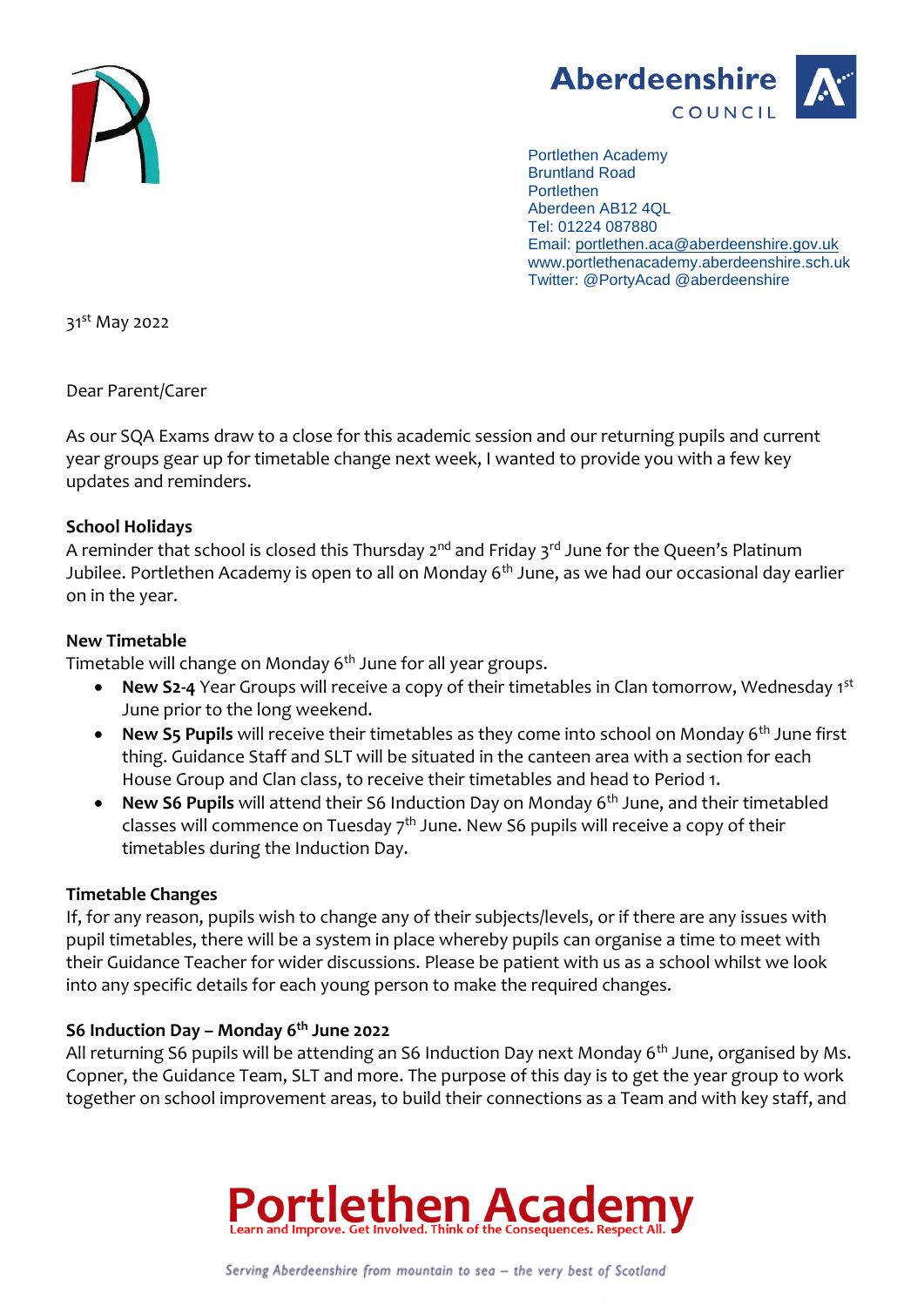



Portlethen Academy Bruntland Road **Portlethen** Aberdeen AB12 4QL Tel: 01224 087880 Email: [portlethen.aca@aberdeenshire.gov.uk](mailto:portlethen.aca@aberdeenshire.gov.uk) www.portlethenacademy.aberdeenshire.sch.uk Twitter: @PortyAcad @aberdeenshire

31st May 2022

Dear Parent/Carer

As our SQA Exams draw to a close for this academic session and our returning pupils and current year groups gear up for timetable change next week, I wanted to provide you with a few key updates and reminders.

# **School Holidays**

A reminder that school is closed this Thursday  $2^{nd}$  and Friday  $3^{rd}$  June for the Queen's Platinum Jubilee. Portlethen Academy is open to all on Monday 6<sup>th</sup> June, as we had our occasional day earlier on in the year.

## **New Timetable**

Timetable will change on Monday 6<sup>th</sup> June for all year groups.

- **New S2-4** Year Groups will receive a copy of their timetables in Clan tomorrow, Wednesday 1st June prior to the long weekend.
- **New S5 Pupils** will receive their timetables as they come into school on Monday 6<sup>th</sup> June first thing. Guidance Staff and SLT will be situated in the canteen area with a section for each House Group and Clan class, to receive their timetables and head to Period 1.
- **New S6 Pupils** will attend their S6 Induction Day on Monday 6th June, and their timetabled classes will commence on Tuesday  $7<sup>th</sup>$  June. New S6 pupils will receive a copy of their timetables during the Induction Day.

# **Timetable Changes**

If, for any reason, pupils wish to change any of their subjects/levels, or if there are any issues with pupil timetables, there will be a system in place whereby pupils can organise a time to meet with their Guidance Teacher for wider discussions. Please be patient with us as a school whilst we look into any specific details for each young person to make the required changes.

# **S6 Induction Day – Monday 6th June 2022**

All returning S6 pupils will be attending an S6 Induction Day next Monday 6<sup>th</sup> June, organised by Ms. Copner, the Guidance Team, SLT and more. The purpose of this day is to get the year group to work together on school improvement areas, to build their connections as a Team and with key staff, and